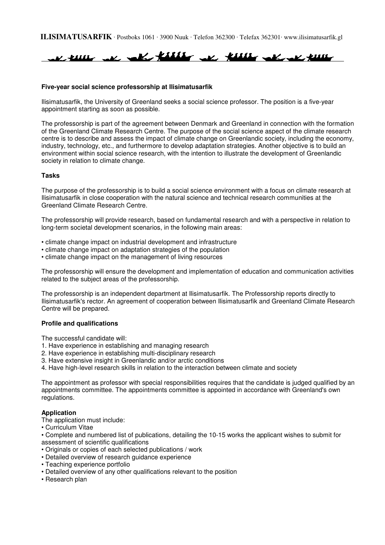**ILISIMATUSARFIK** · Postboks 1061 · 3900 Nuuk · Telefon 362300 · Telefax 362301· www.ilisimatusarfik.gl



### **Five-year social science professorship at Ilisimatusarfik**

Ilisimatusarfik, the University of Greenland seeks a social science professor. The position is a five-year appointment starting as soon as possible.

The professorship is part of the agreement between Denmark and Greenland in connection with the formation of the Greenland Climate Research Centre. The purpose of the social science aspect of the climate research centre is to describe and assess the impact of climate change on Greenlandic society, including the economy, industry, technology, etc., and furthermore to develop adaptation strategies. Another objective is to build an environment within social science research, with the intention to illustrate the development of Greenlandic society in relation to climate change.

#### **Tasks**

The purpose of the professorship is to build a social science environment with a focus on climate research at Ilisimatusarfik in close cooperation with the natural science and technical research communities at the Greenland Climate Research Centre.

The professorship will provide research, based on fundamental research and with a perspective in relation to long-term societal development scenarios, in the following main areas:

- climate change impact on industrial development and infrastructure
- climate change impact on adaptation strategies of the population
- climate change impact on the management of living resources

The professorship will ensure the development and implementation of education and communication activities related to the subject areas of the professorship.

The professorship is an independent department at Ilisimatusarfik. The Professorship reports directly to Ilisimatusarfik's rector. An agreement of cooperation between Ilisimatusarfik and Greenland Climate Research Centre will be prepared.

#### **Profile and qualifications**

The successful candidate will:

- 1. Have experience in establishing and managing research
- 2. Have experience in establishing multi-disciplinary research
- 3. Have extensive insight in Greenlandic and/or arctic conditions
- 4. Have high-level research skills in relation to the interaction between climate and society

The appointment as professor with special responsibilities requires that the candidate is judged qualified by an appointments committee. The appointments committee is appointed in accordance with Greenland's own regulations.

#### **Application**

The application must include:

• Curriculum Vitae

• Complete and numbered list of publications, detailing the 10-15 works the applicant wishes to submit for assessment of scientific qualifications

- Originals or copies of each selected publications / work
- Detailed overview of research guidance experience
- Teaching experience portfolio
- Detailed overview of any other qualifications relevant to the position
- Research plan